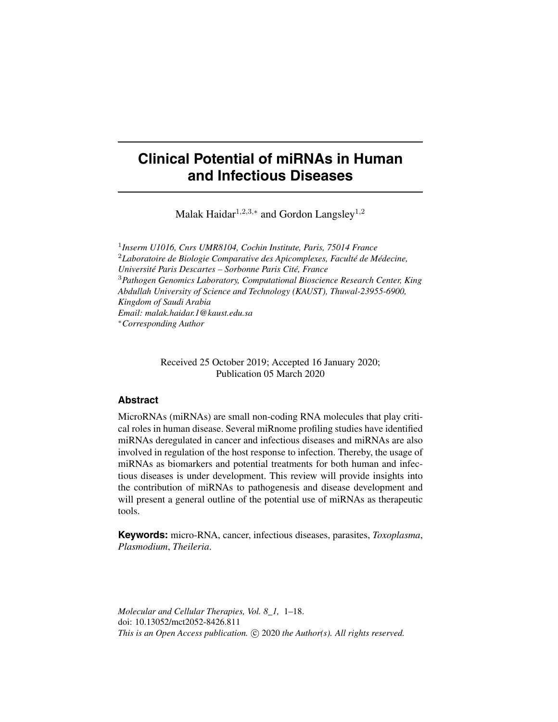# **Clinical Potential of miRNAs in Human and Infectious Diseases**

Malak Haidar<sup>1,2,3,\*</sup> and Gordon Langsley<sup>1,2</sup>

1 *Inserm U1016, Cnrs UMR8104, Cochin Institute, Paris, 75014 France* <sup>2</sup>*Laboratoire de Biologie Comparative des Apicomplexes, Faculté de Médecine, Université Paris Descartes – Sorbonne Paris Cité, France* <sup>3</sup>*Pathogen Genomics Laboratory, Computational Bioscience Research Center, King Abdullah University of Science and Technology (KAUST), Thuwal-23955-6900, Kingdom of Saudi Arabia Email: malak.haidar.1@kaust.edu.sa* <sup>∗</sup>*Corresponding Author*

> Received 25 October 2019; Accepted 16 January 2020; Publication 05 March 2020

### **Abstract**

MicroRNAs (miRNAs) are small non-coding RNA molecules that play critical roles in human disease. Several miRnome profiling studies have identified miRNAs deregulated in cancer and infectious diseases and miRNAs are also involved in regulation of the host response to infection. Thereby, the usage of miRNAs as biomarkers and potential treatments for both human and infectious diseases is under development. This review will provide insights into the contribution of miRNAs to pathogenesis and disease development and will present a general outline of the potential use of miRNAs as therapeutic tools.

**Keywords:** micro-RNA, cancer, infectious diseases, parasites, *Toxoplasma*, *Plasmodium*, *Theileria*.

*Molecular and Cellular Therapies, Vol. 8\_1,* 1–18. doi: 10.13052/mct2052-8426.811 This is an Open Access publication. © 2020 the Author(s). All rights reserved.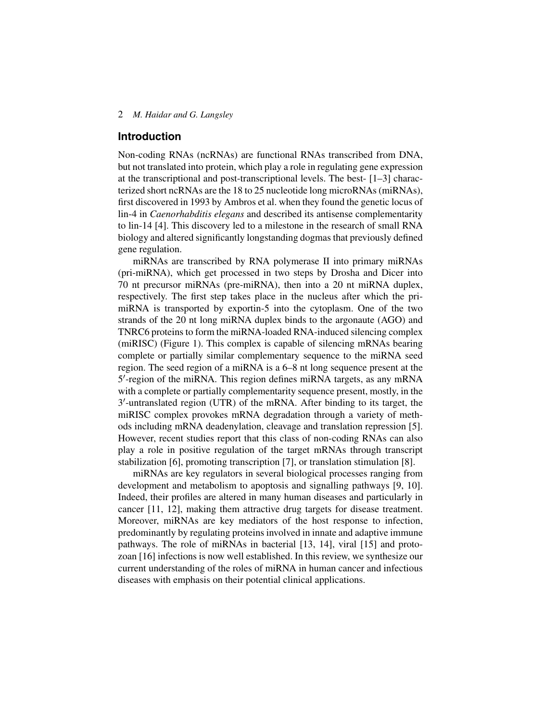#### **Introduction**

Non-coding RNAs (ncRNAs) are functional RNAs transcribed from DNA, but not translated into protein, which play a role in regulating gene expression at the transcriptional and post-transcriptional levels. The best- [1–3] characterized short ncRNAs are the 18 to 25 nucleotide long microRNAs (miRNAs), first discovered in 1993 by Ambros et al. when they found the genetic locus of lin-4 in *Caenorhabditis elegans* and described its antisense complementarity to lin-14 [4]. This discovery led to a milestone in the research of small RNA biology and altered significantly longstanding dogmas that previously defined gene regulation.

miRNAs are transcribed by RNA polymerase II into primary miRNAs (pri-miRNA), which get processed in two steps by Drosha and Dicer into 70 nt precursor miRNAs (pre-miRNA), then into a 20 nt miRNA duplex, respectively. The first step takes place in the nucleus after which the primiRNA is transported by exportin-5 into the cytoplasm. One of the two strands of the 20 nt long miRNA duplex binds to the argonaute (AGO) and TNRC6 proteins to form the miRNA-loaded RNA-induced silencing complex (miRISC) (Figure [1\)](#page-2-0). This complex is capable of silencing mRNAs bearing complete or partially similar complementary sequence to the miRNA seed region. The seed region of a miRNA is a 6–8 nt long sequence present at the 5 0 -region of the miRNA. This region defines miRNA targets, as any mRNA with a complete or partially complementarity sequence present, mostly, in the 3 0 -untranslated region (UTR) of the mRNA. After binding to its target, the miRISC complex provokes mRNA degradation through a variety of methods including mRNA deadenylation, cleavage and translation repression [5]. However, recent studies report that this class of non-coding RNAs can also play a role in positive regulation of the target mRNAs through transcript stabilization [6], promoting transcription [7], or translation stimulation [8].

miRNAs are key regulators in several biological processes ranging from development and metabolism to apoptosis and signalling pathways [9, 10]. Indeed, their profiles are altered in many human diseases and particularly in cancer [11, 12], making them attractive drug targets for disease treatment. Moreover, miRNAs are key mediators of the host response to infection, predominantly by regulating proteins involved in innate and adaptive immune pathways. The role of miRNAs in bacterial [13, 14], viral [15] and protozoan [16] infections is now well established. In this review, we synthesize our current understanding of the roles of miRNA in human cancer and infectious diseases with emphasis on their potential clinical applications.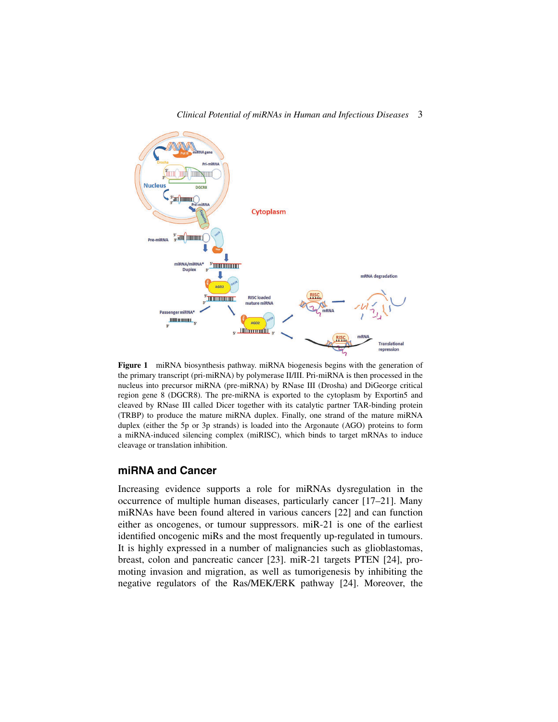

<span id="page-2-0"></span>**Figure 1** miRNA biosynthesis pathway. miRNA biogenesis begins with the generation of the primary transcript (pri-miRNA) by polymerase II/III. Pri-miRNA is then processed in the nucleus into precursor miRNA (pre-miRNA) by RNase III (Drosha) and DiGeorge critical region gene 8 (DGCR8). The pre-miRNA is exported to the cytoplasm by Exportin5 and cleaved by RNase III called Dicer together with its catalytic partner TAR-binding protein (TRBP) to produce the mature miRNA duplex. Finally, one strand of the mature miRNA duplex (either the 5p or 3p strands) is loaded into the Argonaute (AGO) proteins to form a miRNA-induced silencing complex (miRISC), which binds to target mRNAs to induce cleavage or translation inhibition.

#### **miRNA and Cancer**

Increasing evidence supports a role for miRNAs dysregulation in the occurrence of multiple human diseases, particularly cancer [17–21]. Many miRNAs have been found altered in various cancers [22] and can function either as oncogenes, or tumour suppressors. miR-21 is one of the earliest identified oncogenic miRs and the most frequently up-regulated in tumours. It is highly expressed in a number of malignancies such as glioblastomas, breast, colon and pancreatic cancer [23]. miR-21 targets PTEN [24], promoting invasion and migration, as well as tumorigenesis by inhibiting the negative regulators of the Ras/MEK/ERK pathway [24]. Moreover, the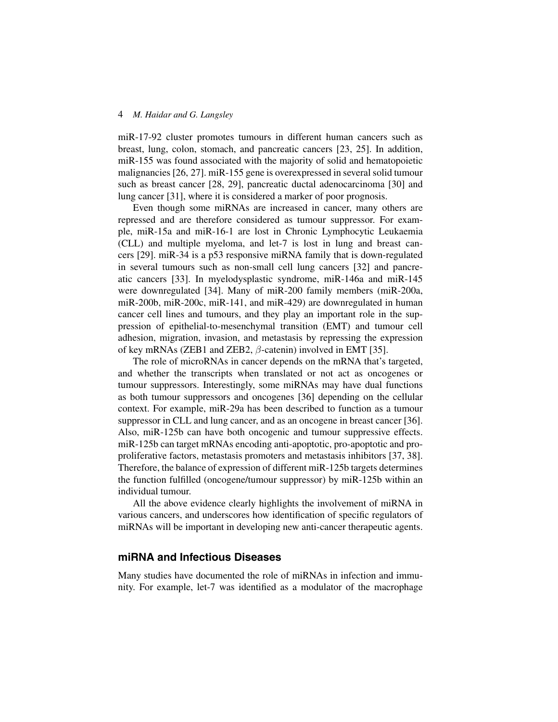miR-17-92 cluster promotes tumours in different human cancers such as breast, lung, colon, stomach, and pancreatic cancers [23, 25]. In addition, miR-155 was found associated with the majority of solid and hematopoietic malignancies [26, 27]. miR-155 gene is overexpressed in several solid tumour such as breast cancer [28, 29], pancreatic ductal adenocarcinoma [30] and lung cancer [31], where it is considered a marker of poor prognosis.

Even though some miRNAs are increased in cancer, many others are repressed and are therefore considered as tumour suppressor. For example, miR-15a and miR-16-1 are lost in Chronic Lymphocytic Leukaemia (CLL) and multiple myeloma, and let-7 is lost in lung and breast cancers [29]. miR-34 is a p53 responsive miRNA family that is down-regulated in several tumours such as non-small cell lung cancers [32] and pancreatic cancers [33]. In myelodysplastic syndrome, miR-146a and miR-145 were downregulated [34]. Many of miR-200 family members (miR-200a, miR-200b, miR-200c, miR-141, and miR-429) are downregulated in human cancer cell lines and tumours, and they play an important role in the suppression of epithelial-to-mesenchymal transition (EMT) and tumour cell adhesion, migration, invasion, and metastasis by repressing the expression of key mRNAs (ZEB1 and ZEB2,  $\beta$ -catenin) involved in EMT [35].

The role of microRNAs in cancer depends on the mRNA that's targeted, and whether the transcripts when translated or not act as oncogenes or tumour suppressors. Interestingly, some miRNAs may have dual functions as both tumour suppressors and oncogenes [36] depending on the cellular context. For example, miR-29a has been described to function as a tumour suppressor in CLL and lung cancer, and as an oncogene in breast cancer [36]. Also, miR-125b can have both oncogenic and tumour suppressive effects. miR-125b can target mRNAs encoding anti-apoptotic, pro-apoptotic and proproliferative factors, metastasis promoters and metastasis inhibitors [37, 38]. Therefore, the balance of expression of different miR-125b targets determines the function fulfilled (oncogene/tumour suppressor) by miR-125b within an individual tumour.

All the above evidence clearly highlights the involvement of miRNA in various cancers, and underscores how identification of specific regulators of miRNAs will be important in developing new anti-cancer therapeutic agents.

# **miRNA and Infectious Diseases**

Many studies have documented the role of miRNAs in infection and immunity. For example, let-7 was identified as a modulator of the macrophage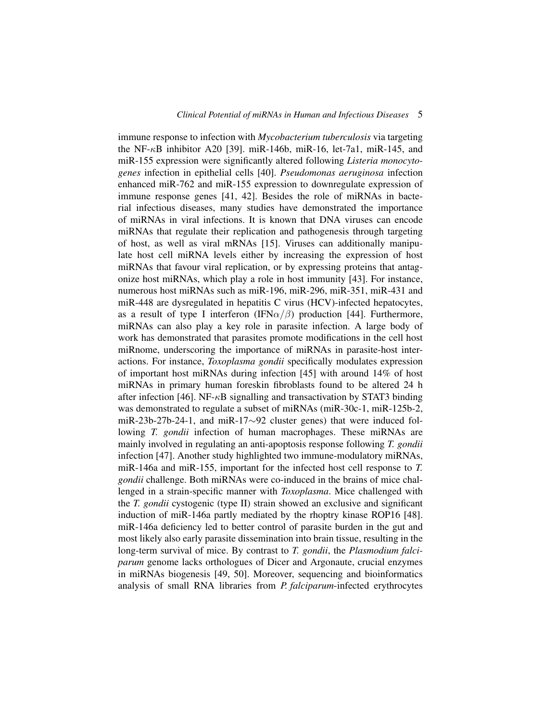immune response to infection with *Mycobacterium tuberculosis* via targeting the NF- $\kappa$ B inhibitor A20 [39]. miR-146b, miR-16, let-7a1, miR-145, and miR-155 expression were significantly altered following *Listeria monocytogenes* infection in epithelial cells [40]. *Pseudomonas aeruginosa* infection enhanced miR-762 and miR-155 expression to downregulate expression of immune response genes [41, 42]. Besides the role of miRNAs in bacterial infectious diseases, many studies have demonstrated the importance of miRNAs in viral infections. It is known that DNA viruses can encode miRNAs that regulate their replication and pathogenesis through targeting of host, as well as viral mRNAs [15]. Viruses can additionally manipulate host cell miRNA levels either by increasing the expression of host miRNAs that favour viral replication, or by expressing proteins that antagonize host miRNAs, which play a role in host immunity [43]. For instance, numerous host miRNAs such as miR-196, miR-296, miR-351, miR-431 and miR-448 are dysregulated in hepatitis C virus (HCV)-infected hepatocytes, as a result of type I interferon (IFN $\alpha/\beta$ ) production [44]. Furthermore, miRNAs can also play a key role in parasite infection. A large body of work has demonstrated that parasites promote modifications in the cell host miRnome, underscoring the importance of miRNAs in parasite-host interactions. For instance, *Toxoplasma gondii* specifically modulates expression of important host miRNAs during infection [45] with around 14% of host miRNAs in primary human foreskin fibroblasts found to be altered 24 h after infection [46]. NF-κB signalling and transactivation by STAT3 binding was demonstrated to regulate a subset of miRNAs (miR-30c-1, miR-125b-2, miR-23b-27b-24-1, and miR-17∼92 cluster genes) that were induced following *T. gondii* infection of human macrophages. These miRNAs are mainly involved in regulating an anti-apoptosis response following *T. gondii* infection [47]. Another study highlighted two immune-modulatory miRNAs, miR-146a and miR-155, important for the infected host cell response to *T. gondii* challenge. Both miRNAs were co-induced in the brains of mice challenged in a strain-specific manner with *Toxoplasma*. Mice challenged with the *T. gondii* cystogenic (type II) strain showed an exclusive and significant induction of miR-146a partly mediated by the rhoptry kinase ROP16 [48]. miR-146a deficiency led to better control of parasite burden in the gut and most likely also early parasite dissemination into brain tissue, resulting in the long-term survival of mice. By contrast to *T. gondii*, the *Plasmodium falciparum* genome lacks orthologues of Dicer and Argonaute, crucial enzymes in miRNAs biogenesis [49, 50]. Moreover, sequencing and bioinformatics analysis of small RNA libraries from *P. falciparum*-infected erythrocytes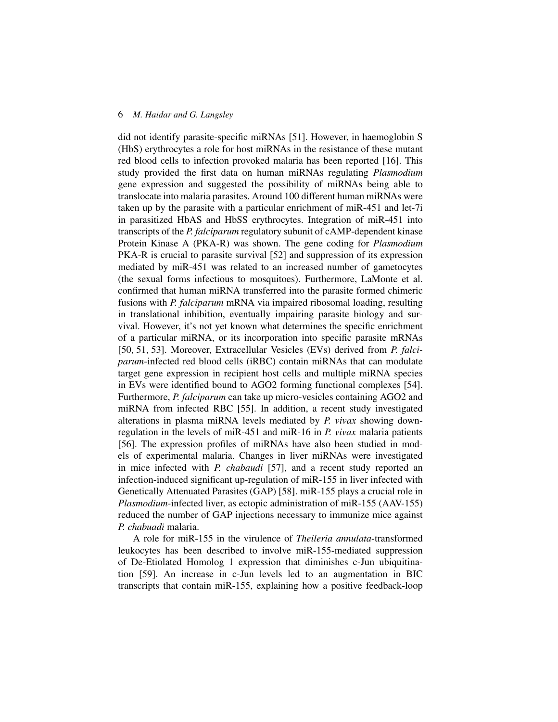did not identify parasite-specific miRNAs [51]. However, in haemoglobin S (HbS) erythrocytes a role for host miRNAs in the resistance of these mutant red blood cells to infection provoked malaria has been reported [16]. This study provided the first data on human miRNAs regulating *Plasmodium* gene expression and suggested the possibility of miRNAs being able to translocate into malaria parasites. Around 100 different human miRNAs were taken up by the parasite with a particular enrichment of miR-451 and let-7i in parasitized HbAS and HbSS erythrocytes. Integration of miR-451 into transcripts of the *P. falciparum* regulatory subunit of cAMP-dependent kinase Protein Kinase A (PKA-R) was shown. The gene coding for *Plasmodium* PKA-R is crucial to parasite survival [52] and suppression of its expression mediated by miR-451 was related to an increased number of gametocytes (the sexual forms infectious to mosquitoes). Furthermore, LaMonte et al. confirmed that human miRNA transferred into the parasite formed chimeric fusions with *P. falciparum* mRNA via impaired ribosomal loading, resulting in translational inhibition, eventually impairing parasite biology and survival. However, it's not yet known what determines the specific enrichment of a particular miRNA, or its incorporation into specific parasite mRNAs [50, 51, 53]. Moreover, Extracellular Vesicles (EVs) derived from *P. falciparum*-infected red blood cells (iRBC) contain miRNAs that can modulate target gene expression in recipient host cells and multiple miRNA species in EVs were identified bound to AGO2 forming functional complexes [54]. Furthermore, *P. falciparum* can take up micro-vesicles containing AGO2 and miRNA from infected RBC [55]. In addition, a recent study investigated alterations in plasma miRNA levels mediated by *P. vivax* showing downregulation in the levels of miR-451 and miR-16 in *P. vivax* malaria patients [56]. The expression profiles of miRNAs have also been studied in models of experimental malaria. Changes in liver miRNAs were investigated in mice infected with *P. chabaudi* [57], and a recent study reported an infection-induced significant up-regulation of miR-155 in liver infected with Genetically Attenuated Parasites (GAP) [58]. miR-155 plays a crucial role in *Plasmodium-*infected liver, as ectopic administration of miR-155 (AAV-155) reduced the number of GAP injections necessary to immunize mice against *P. chabuadi* malaria.

A role for miR-155 in the virulence of *Theileria annulata*-transformed leukocytes has been described to involve miR-155-mediated suppression of De-Etiolated Homolog 1 expression that diminishes c-Jun ubiquitination [59]. An increase in c-Jun levels led to an augmentation in BIC transcripts that contain miR-155, explaining how a positive feedback-loop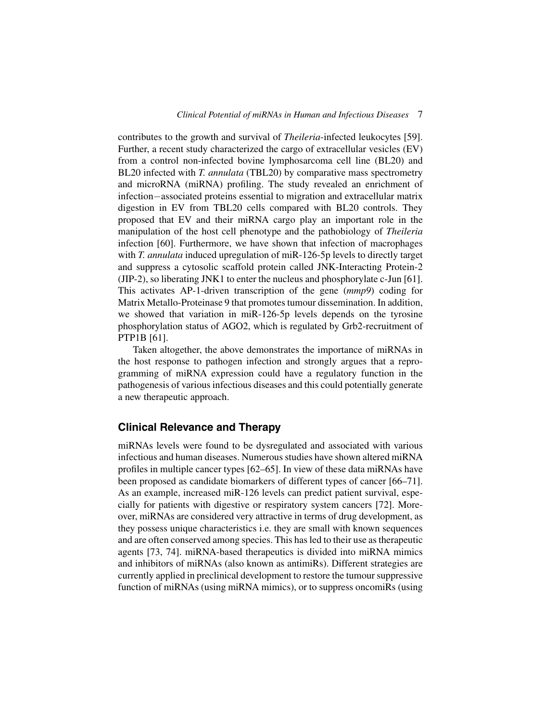contributes to the growth and survival of *Theileria*-infected leukocytes [59]. Further, a recent study characterized the cargo of extracellular vesicles (EV) from a control non-infected bovine lymphosarcoma cell line (BL20) and BL20 infected with *T. annulata* (TBL20) by comparative mass spectrometry and microRNA (miRNA) profiling. The study revealed an enrichment of infection−associated proteins essential to migration and extracellular matrix digestion in EV from TBL20 cells compared with BL20 controls. They proposed that EV and their miRNA cargo play an important role in the manipulation of the host cell phenotype and the pathobiology of *Theileria* infection [60]. Furthermore, we have shown that infection of macrophages with *T. annulata* induced upregulation of miR-126-5p levels to directly target and suppress a cytosolic scaffold protein called JNK-Interacting Protein-2 (JIP-2), so liberating JNK1 to enter the nucleus and phosphorylate c-Jun [61]. This activates AP-1-driven transcription of the gene (*mmp9*) coding for Matrix Metallo-Proteinase 9 that promotes tumour dissemination. In addition, we showed that variation in miR-126-5p levels depends on the tyrosine phosphorylation status of AGO2, which is regulated by Grb2-recruitment of PTP1B [61].

Taken altogether, the above demonstrates the importance of miRNAs in the host response to pathogen infection and strongly argues that a reprogramming of miRNA expression could have a regulatory function in the pathogenesis of various infectious diseases and this could potentially generate a new therapeutic approach.

# **Clinical Relevance and Therapy**

miRNAs levels were found to be dysregulated and associated with various infectious and human diseases. Numerous studies have shown altered miRNA profiles in multiple cancer types [62–65]. In view of these data miRNAs have been proposed as candidate biomarkers of different types of cancer [66–71]. As an example, increased miR-126 levels can predict patient survival, especially for patients with digestive or respiratory system cancers [72]. Moreover, miRNAs are considered very attractive in terms of drug development, as they possess unique characteristics i.e. they are small with known sequences and are often conserved among species. This has led to their use as therapeutic agents [73, 74]. miRNA-based therapeutics is divided into miRNA mimics and inhibitors of miRNAs (also known as antimiRs). Different strategies are currently applied in preclinical development to restore the tumour suppressive function of miRNAs (using miRNA mimics), or to suppress oncomiRs (using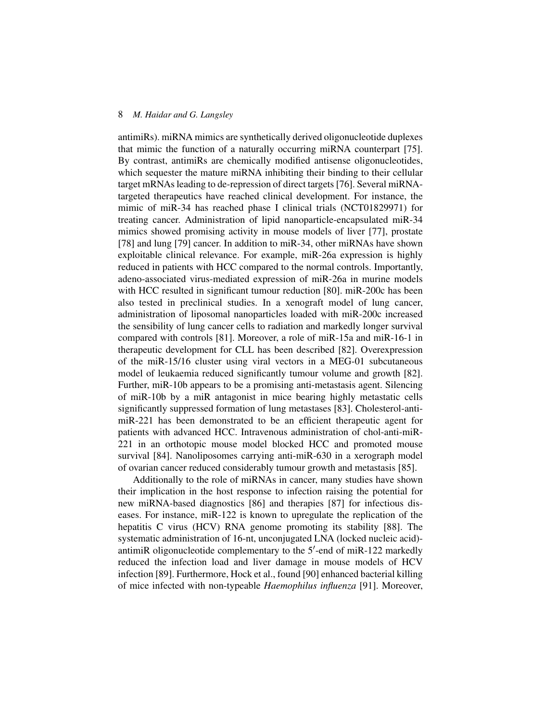antimiRs). miRNA mimics are synthetically derived oligonucleotide duplexes that mimic the function of a naturally occurring miRNA counterpart [75]. By contrast, antimiRs are chemically modified antisense oligonucleotides, which sequester the mature miRNA inhibiting their binding to their cellular target mRNAs leading to de-repression of direct targets [76]. Several miRNAtargeted therapeutics have reached clinical development. For instance, the mimic of miR-34 has reached phase I clinical trials (NCT01829971) for treating cancer. Administration of lipid nanoparticle-encapsulated miR-34 mimics showed promising activity in mouse models of liver [77], prostate [78] and lung [79] cancer. In addition to miR-34, other miRNAs have shown exploitable clinical relevance. For example, miR-26a expression is highly reduced in patients with HCC compared to the normal controls. Importantly, adeno-associated virus-mediated expression of miR-26a in murine models with HCC resulted in significant tumour reduction [80]. miR-200c has been also tested in preclinical studies. In a xenograft model of lung cancer, administration of liposomal nanoparticles loaded with miR-200c increased the sensibility of lung cancer cells to radiation and markedly longer survival compared with controls [81]. Moreover, a role of miR-15a and miR-16-1 in therapeutic development for CLL has been described [82]. Overexpression of the miR-15/16 cluster using viral vectors in a MEG-01 subcutaneous model of leukaemia reduced significantly tumour volume and growth [82]. Further, miR-10b appears to be a promising anti-metastasis agent. Silencing of miR-10b by a miR antagonist in mice bearing highly metastatic cells significantly suppressed formation of lung metastases [83]. Cholesterol-antimiR-221 has been demonstrated to be an efficient therapeutic agent for patients with advanced HCC. Intravenous administration of chol-anti-miR-221 in an orthotopic mouse model blocked HCC and promoted mouse survival [84]. Nanoliposomes carrying anti-miR-630 in a xerograph model of ovarian cancer reduced considerably tumour growth and metastasis [85].

Additionally to the role of miRNAs in cancer, many studies have shown their implication in the host response to infection raising the potential for new miRNA-based diagnostics [86] and therapies [87] for infectious diseases. For instance, miR-122 is known to upregulate the replication of the hepatitis C virus (HCV) RNA genome promoting its stability [88]. The systematic administration of 16-nt, unconjugated LNA (locked nucleic acid) antimiR oligonucleotide complementary to the 5'-end of miR-122 markedly reduced the infection load and liver damage in mouse models of HCV infection [89]. Furthermore, Hock et al., found [90] enhanced bacterial killing of mice infected with non-typeable *Haemophilus influenza* [91]. Moreover,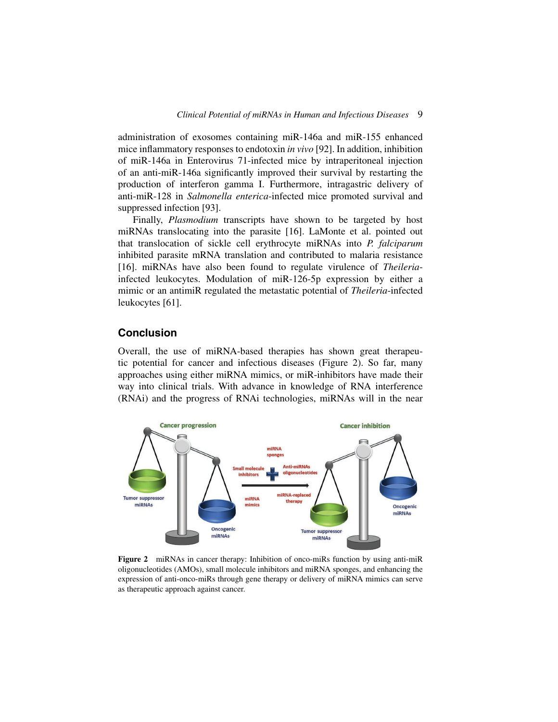administration of exosomes containing miR-146a and miR-155 enhanced mice inflammatory responses to endotoxin *in vivo* [92]. In addition, inhibition of miR-146a in Enterovirus 71-infected mice by intraperitoneal injection of an anti-miR-146a significantly improved their survival by restarting the production of interferon gamma I. Furthermore, intragastric delivery of anti-miR-128 in *Salmonella enterica*-infected mice promoted survival and suppressed infection [93].

Finally, *Plasmodium* transcripts have shown to be targeted by host miRNAs translocating into the parasite [16]. LaMonte et al. pointed out that translocation of sickle cell erythrocyte miRNAs into *P. falciparum* inhibited parasite mRNA translation and contributed to malaria resistance [16]. miRNAs have also been found to regulate virulence of *Theileria*infected leukocytes. Modulation of miR-126-5p expression by either a mimic or an antimiR regulated the metastatic potential of *Theileria*-infected leukocytes [61].

# **Conclusion**

Overall, the use of miRNA-based therapies has shown great therapeutic potential for cancer and infectious diseases (Figure [2\)](#page-8-0). So far, many approaches using either miRNA mimics, or miR-inhibitors have made their way into clinical trials. With advance in knowledge of RNA interference (RNAi) and the progress of RNAi technologies, miRNAs will in the near



<span id="page-8-0"></span>**Figure 2** miRNAs in cancer therapy: Inhibition of onco-miRs function by using anti-miR oligonucleotides (AMOs), small molecule inhibitors and miRNA sponges, and enhancing the expression of anti-onco-miRs through gene therapy or delivery of miRNA mimics can serve as therapeutic approach against cancer.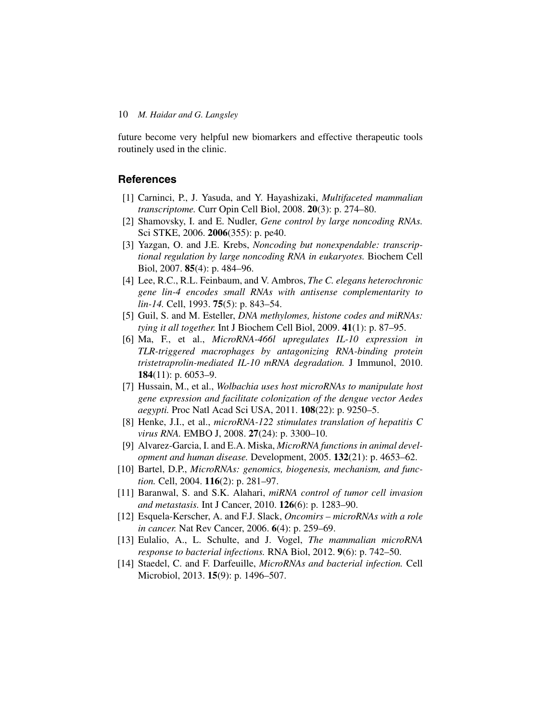future become very helpful new biomarkers and effective therapeutic tools routinely used in the clinic.

# **References**

- [1] Carninci, P., J. Yasuda, and Y. Hayashizaki, *Multifaceted mammalian transcriptome.* Curr Opin Cell Biol, 2008. **20**(3): p. 274–80.
- [2] Shamovsky, I. and E. Nudler, *Gene control by large noncoding RNAs.* Sci STKE, 2006. **2006**(355): p. pe40.
- [3] Yazgan, O. and J.E. Krebs, *Noncoding but nonexpendable: transcriptional regulation by large noncoding RNA in eukaryotes.* Biochem Cell Biol, 2007. **85**(4): p. 484–96.
- [4] Lee, R.C., R.L. Feinbaum, and V. Ambros, *The C. elegans heterochronic gene lin-4 encodes small RNAs with antisense complementarity to lin-14.* Cell, 1993. **75**(5): p. 843–54.
- [5] Guil, S. and M. Esteller, *DNA methylomes, histone codes and miRNAs: tying it all together.* Int J Biochem Cell Biol, 2009. **41**(1): p. 87–95.
- [6] Ma, F., et al., *MicroRNA-466l upregulates IL-10 expression in TLR-triggered macrophages by antagonizing RNA-binding protein tristetraprolin-mediated IL-10 mRNA degradation.* J Immunol, 2010. **184**(11): p. 6053–9.
- [7] Hussain, M., et al., *Wolbachia uses host microRNAs to manipulate host gene expression and facilitate colonization of the dengue vector Aedes aegypti.* Proc Natl Acad Sci USA, 2011. **108**(22): p. 9250–5.
- [8] Henke, J.I., et al., *microRNA-122 stimulates translation of hepatitis C virus RNA.* EMBO J, 2008. **27**(24): p. 3300–10.
- [9] Alvarez-Garcia, I. and E.A. Miska, *MicroRNA functions in animal development and human disease.* Development, 2005. **132**(21): p. 4653–62.
- [10] Bartel, D.P., *MicroRNAs: genomics, biogenesis, mechanism, and function.* Cell, 2004. **116**(2): p. 281–97.
- [11] Baranwal, S. and S.K. Alahari, *miRNA control of tumor cell invasion and metastasis.* Int J Cancer, 2010. **126**(6): p. 1283–90.
- [12] Esquela-Kerscher, A. and F.J. Slack, *Oncomirs microRNAs with a role in cancer.* Nat Rev Cancer, 2006. **6**(4): p. 259–69.
- [13] Eulalio, A., L. Schulte, and J. Vogel, *The mammalian microRNA response to bacterial infections.* RNA Biol, 2012. **9**(6): p. 742–50.
- [14] Staedel, C. and F. Darfeuille, *MicroRNAs and bacterial infection.* Cell Microbiol, 2013. **15**(9): p. 1496–507.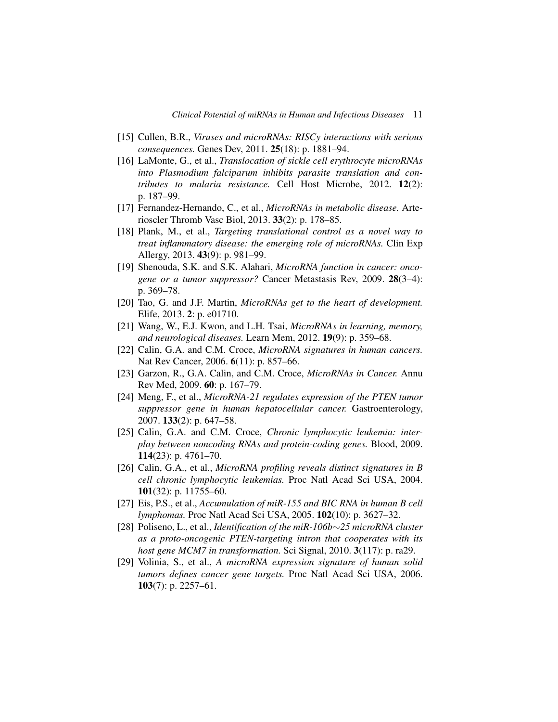- [15] Cullen, B.R., *Viruses and microRNAs: RISCy interactions with serious consequences.* Genes Dev, 2011. **25**(18): p. 1881–94.
- [16] LaMonte, G., et al., *Translocation of sickle cell erythrocyte microRNAs into Plasmodium falciparum inhibits parasite translation and contributes to malaria resistance.* Cell Host Microbe, 2012. **12**(2): p. 187–99.
- [17] Fernandez-Hernando, C., et al., *MicroRNAs in metabolic disease.* Arterioscler Thromb Vasc Biol, 2013. **33**(2): p. 178–85.
- [18] Plank, M., et al., *Targeting translational control as a novel way to treat inflammatory disease: the emerging role of microRNAs.* Clin Exp Allergy, 2013. **43**(9): p. 981–99.
- [19] Shenouda, S.K. and S.K. Alahari, *MicroRNA function in cancer: oncogene or a tumor suppressor?* Cancer Metastasis Rev, 2009. **28**(3–4): p. 369–78.
- [20] Tao, G. and J.F. Martin, *MicroRNAs get to the heart of development.* Elife, 2013. **2**: p. e01710.
- [21] Wang, W., E.J. Kwon, and L.H. Tsai, *MicroRNAs in learning, memory, and neurological diseases.* Learn Mem, 2012. **19**(9): p. 359–68.
- [22] Calin, G.A. and C.M. Croce, *MicroRNA signatures in human cancers.* Nat Rev Cancer, 2006. **6**(11): p. 857–66.
- [23] Garzon, R., G.A. Calin, and C.M. Croce, *MicroRNAs in Cancer.* Annu Rev Med, 2009. **60**: p. 167–79.
- [24] Meng, F., et al., *MicroRNA-21 regulates expression of the PTEN tumor suppressor gene in human hepatocellular cancer.* Gastroenterology, 2007. **133**(2): p. 647–58.
- [25] Calin, G.A. and C.M. Croce, *Chronic lymphocytic leukemia: interplay between noncoding RNAs and protein-coding genes.* Blood, 2009. **114**(23): p. 4761–70.
- [26] Calin, G.A., et al., *MicroRNA profiling reveals distinct signatures in B cell chronic lymphocytic leukemias.* Proc Natl Acad Sci USA, 2004. **101**(32): p. 11755–60.
- [27] Eis, P.S., et al., *Accumulation of miR-155 and BIC RNA in human B cell lymphomas.* Proc Natl Acad Sci USA, 2005. **102**(10): p. 3627–32.
- [28] Poliseno, L., et al., *Identification of the miR-106b*∼*25 microRNA cluster as a proto-oncogenic PTEN-targeting intron that cooperates with its host gene MCM7 in transformation.* Sci Signal, 2010. **3**(117): p. ra29.
- [29] Volinia, S., et al., *A microRNA expression signature of human solid tumors defines cancer gene targets.* Proc Natl Acad Sci USA, 2006. **103**(7): p. 2257–61.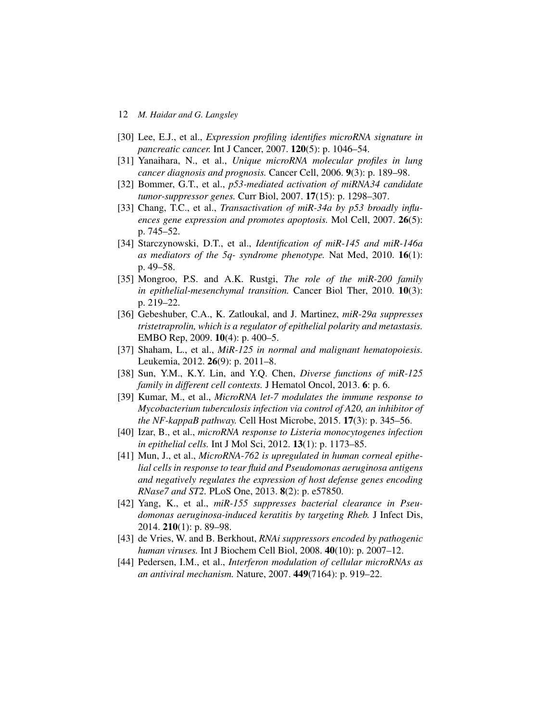- 12 *M. Haidar and G. Langsley*
- [30] Lee, E.J., et al., *Expression profiling identifies microRNA signature in pancreatic cancer.* Int J Cancer, 2007. **120**(5): p. 1046–54.
- [31] Yanaihara, N., et al., *Unique microRNA molecular profiles in lung cancer diagnosis and prognosis.* Cancer Cell, 2006. **9**(3): p. 189–98.
- [32] Bommer, G.T., et al., *p53-mediated activation of miRNA34 candidate tumor-suppressor genes.* Curr Biol, 2007. **17**(15): p. 1298–307.
- [33] Chang, T.C., et al., *Transactivation of miR-34a by p53 broadly influences gene expression and promotes apoptosis.* Mol Cell, 2007. **26**(5): p. 745–52.
- [34] Starczynowski, D.T., et al., *Identification of miR-145 and miR-146a as mediators of the 5q- syndrome phenotype.* Nat Med, 2010. **16**(1): p. 49–58.
- [35] Mongroo, P.S. and A.K. Rustgi, *The role of the miR-200 family in epithelial-mesenchymal transition.* Cancer Biol Ther, 2010. **10**(3): p. 219–22.
- [36] Gebeshuber, C.A., K. Zatloukal, and J. Martinez, *miR-29a suppresses tristetraprolin, which is a regulator of epithelial polarity and metastasis.* EMBO Rep, 2009. **10**(4): p. 400–5.
- [37] Shaham, L., et al., *MiR-125 in normal and malignant hematopoiesis.* Leukemia, 2012. **26**(9): p. 2011–8.
- [38] Sun, Y.M., K.Y. Lin, and Y.Q. Chen, *Diverse functions of miR-125 family in different cell contexts.* J Hematol Oncol, 2013. **6**: p. 6.
- [39] Kumar, M., et al., *MicroRNA let-7 modulates the immune response to Mycobacterium tuberculosis infection via control of A20, an inhibitor of the NF-kappaB pathway.* Cell Host Microbe, 2015. **17**(3): p. 345–56.
- [40] Izar, B., et al., *microRNA response to Listeria monocytogenes infection in epithelial cells.* Int J Mol Sci, 2012. **13**(1): p. 1173–85.
- [41] Mun, J., et al., *MicroRNA-762 is upregulated in human corneal epithelial cells in response to tear fluid and Pseudomonas aeruginosa antigens and negatively regulates the expression of host defense genes encoding RNase7 and ST2.* PLoS One, 2013. **8**(2): p. e57850.
- [42] Yang, K., et al., *miR-155 suppresses bacterial clearance in Pseudomonas aeruginosa-induced keratitis by targeting Rheb.* J Infect Dis, 2014. **210**(1): p. 89–98.
- [43] de Vries, W. and B. Berkhout, *RNAi suppressors encoded by pathogenic human viruses.* Int J Biochem Cell Biol, 2008. **40**(10): p. 2007–12.
- [44] Pedersen, I.M., et al., *Interferon modulation of cellular microRNAs as an antiviral mechanism.* Nature, 2007. **449**(7164): p. 919–22.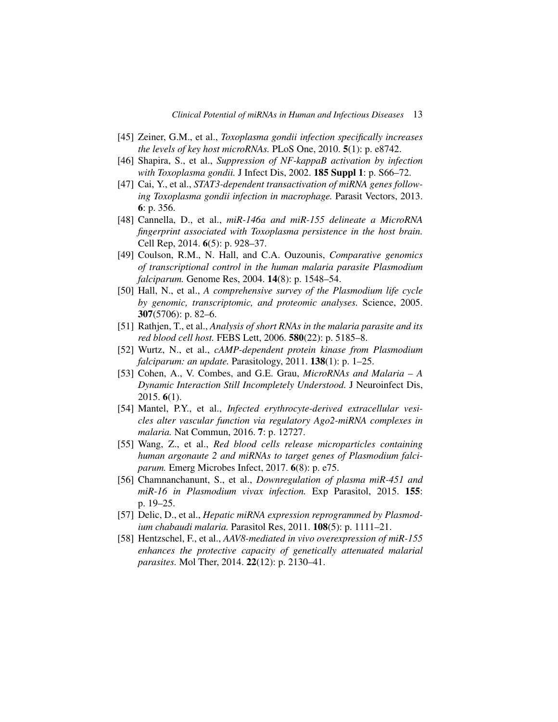- [45] Zeiner, G.M., et al., *Toxoplasma gondii infection specifically increases the levels of key host microRNAs.* PLoS One, 2010. **5**(1): p. e8742.
- [46] Shapira, S., et al., *Suppression of NF-kappaB activation by infection with Toxoplasma gondii.* J Infect Dis, 2002. **185 Suppl 1**: p. S66–72.
- [47] Cai, Y., et al., *STAT3-dependent transactivation of miRNA genes following Toxoplasma gondii infection in macrophage.* Parasit Vectors, 2013. **6**: p. 356.
- [48] Cannella, D., et al., *miR-146a and miR-155 delineate a MicroRNA fingerprint associated with Toxoplasma persistence in the host brain.* Cell Rep, 2014. **6**(5): p. 928–37.
- [49] Coulson, R.M., N. Hall, and C.A. Ouzounis, *Comparative genomics of transcriptional control in the human malaria parasite Plasmodium falciparum.* Genome Res, 2004. **14**(8): p. 1548–54.
- [50] Hall, N., et al., *A comprehensive survey of the Plasmodium life cycle by genomic, transcriptomic, and proteomic analyses.* Science, 2005. **307**(5706): p. 82–6.
- [51] Rathjen, T., et al., *Analysis of short RNAs in the malaria parasite and its red blood cell host.* FEBS Lett, 2006. **580**(22): p. 5185–8.
- [52] Wurtz, N., et al., *cAMP-dependent protein kinase from Plasmodium falciparum: an update.* Parasitology, 2011. **138**(1): p. 1–25.
- [53] Cohen, A., V. Combes, and G.E. Grau, *MicroRNAs and Malaria A Dynamic Interaction Still Incompletely Understood.* J Neuroinfect Dis, 2015. **6**(1).
- [54] Mantel, P.Y., et al., *Infected erythrocyte-derived extracellular vesicles alter vascular function via regulatory Ago2-miRNA complexes in malaria.* Nat Commun, 2016. **7**: p. 12727.
- [55] Wang, Z., et al., *Red blood cells release microparticles containing human argonaute 2 and miRNAs to target genes of Plasmodium falciparum.* Emerg Microbes Infect, 2017. **6**(8): p. e75.
- [56] Chamnanchanunt, S., et al., *Downregulation of plasma miR-451 and miR-16 in Plasmodium vivax infection.* Exp Parasitol, 2015. **155**: p. 19–25.
- [57] Delic, D., et al., *Hepatic miRNA expression reprogrammed by Plasmodium chabaudi malaria.* Parasitol Res, 2011. **108**(5): p. 1111–21.
- [58] Hentzschel, F., et al., *AAV8-mediated in vivo overexpression of miR-155 enhances the protective capacity of genetically attenuated malarial parasites.* Mol Ther, 2014. **22**(12): p. 2130–41.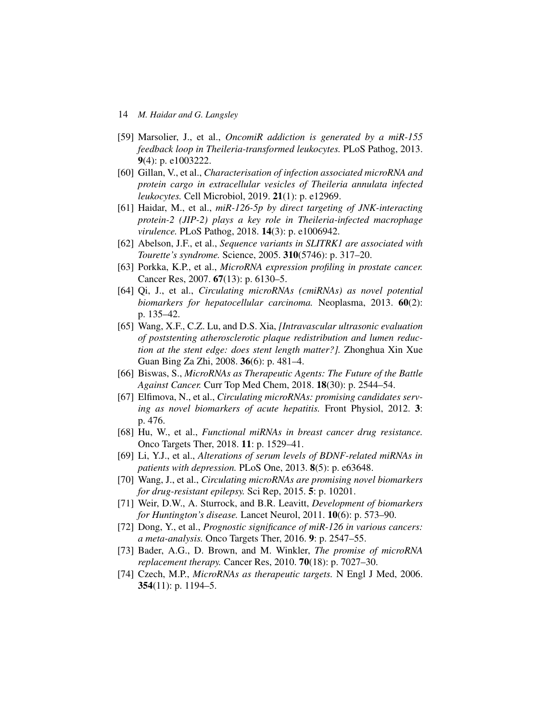- 14 *M. Haidar and G. Langsley*
- [59] Marsolier, J., et al., *OncomiR addiction is generated by a miR-155 feedback loop in Theileria-transformed leukocytes.* PLoS Pathog, 2013. **9**(4): p. e1003222.
- [60] Gillan, V., et al., *Characterisation of infection associated microRNA and protein cargo in extracellular vesicles of Theileria annulata infected leukocytes.* Cell Microbiol, 2019. **21**(1): p. e12969.
- [61] Haidar, M., et al., *miR-126-5p by direct targeting of JNK-interacting protein-2 (JIP-2) plays a key role in Theileria-infected macrophage virulence.* PLoS Pathog, 2018. **14**(3): p. e1006942.
- [62] Abelson, J.F., et al., *Sequence variants in SLITRK1 are associated with Tourette's syndrome.* Science, 2005. **310**(5746): p. 317–20.
- [63] Porkka, K.P., et al., *MicroRNA expression profiling in prostate cancer.* Cancer Res, 2007. **67**(13): p. 6130–5.
- [64] Qi, J., et al., *Circulating microRNAs (cmiRNAs) as novel potential biomarkers for hepatocellular carcinoma.* Neoplasma, 2013. **60**(2): p. 135–42.
- [65] Wang, X.F., C.Z. Lu, and D.S. Xia, *[Intravascular ultrasonic evaluation of poststenting atherosclerotic plaque redistribution and lumen reduction at the stent edge: does stent length matter?].* Zhonghua Xin Xue Guan Bing Za Zhi, 2008. **36**(6): p. 481–4.
- [66] Biswas, S., *MicroRNAs as Therapeutic Agents: The Future of the Battle Against Cancer.* Curr Top Med Chem, 2018. **18**(30): p. 2544–54.
- [67] Elfimova, N., et al., *Circulating microRNAs: promising candidates serving as novel biomarkers of acute hepatitis.* Front Physiol, 2012. **3**: p. 476.
- [68] Hu, W., et al., *Functional miRNAs in breast cancer drug resistance.* Onco Targets Ther, 2018. **11**: p. 1529–41.
- [69] Li, Y.J., et al., *Alterations of serum levels of BDNF-related miRNAs in patients with depression.* PLoS One, 2013. **8**(5): p. e63648.
- [70] Wang, J., et al., *Circulating microRNAs are promising novel biomarkers for drug-resistant epilepsy.* Sci Rep, 2015. **5**: p. 10201.
- [71] Weir, D.W., A. Sturrock, and B.R. Leavitt, *Development of biomarkers for Huntington's disease.* Lancet Neurol, 2011. **10**(6): p. 573–90.
- [72] Dong, Y., et al., *Prognostic significance of miR-126 in various cancers: a meta-analysis.* Onco Targets Ther, 2016. **9**: p. 2547–55.
- [73] Bader, A.G., D. Brown, and M. Winkler, *The promise of microRNA replacement therapy.* Cancer Res, 2010. **70**(18): p. 7027–30.
- [74] Czech, M.P., *MicroRNAs as therapeutic targets.* N Engl J Med, 2006. **354**(11): p. 1194–5.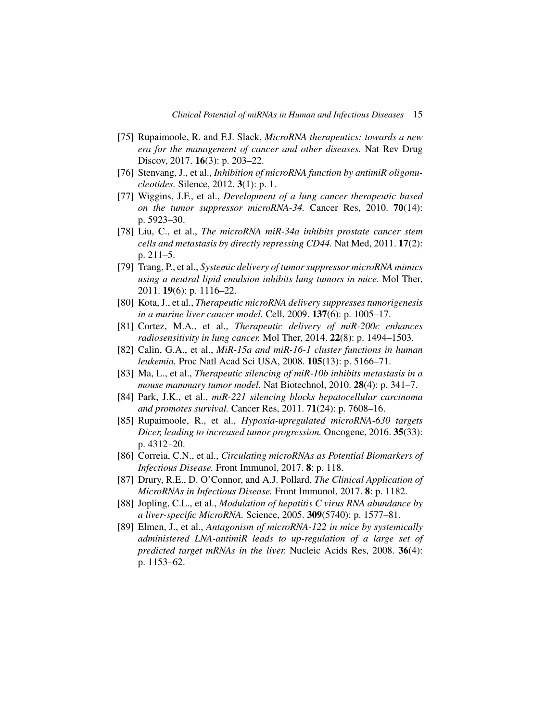- [75] Rupaimoole, R. and F.J. Slack, *MicroRNA therapeutics: towards a new era for the management of cancer and other diseases.* Nat Rev Drug Discov, 2017. **16**(3): p. 203–22.
- [76] Stenvang, J., et al., *Inhibition of microRNA function by antimiR oligonucleotides.* Silence, 2012. **3**(1): p. 1.
- [77] Wiggins, J.F., et al., *Development of a lung cancer therapeutic based on the tumor suppressor microRNA-34.* Cancer Res, 2010. **70**(14): p. 5923–30.
- [78] Liu, C., et al., *The microRNA miR-34a inhibits prostate cancer stem cells and metastasis by directly repressing CD44.* Nat Med, 2011. **17**(2): p. 211–5.
- [79] Trang, P., et al., *Systemic delivery of tumor suppressor microRNA mimics using a neutral lipid emulsion inhibits lung tumors in mice.* Mol Ther, 2011. **19**(6): p. 1116–22.
- [80] Kota, J., et al., *Therapeutic microRNA delivery suppresses tumorigenesis in a murine liver cancer model.* Cell, 2009. **137**(6): p. 1005–17.
- [81] Cortez, M.A., et al., *Therapeutic delivery of miR-200c enhances radiosensitivity in lung cancer.* Mol Ther, 2014. **22**(8): p. 1494–1503.
- [82] Calin, G.A., et al., *MiR-15a and miR-16-1 cluster functions in human leukemia.* Proc Natl Acad Sci USA, 2008. **105**(13): p. 5166–71.
- [83] Ma, L., et al., *Therapeutic silencing of miR-10b inhibits metastasis in a mouse mammary tumor model.* Nat Biotechnol, 2010. **28**(4): p. 341–7.
- [84] Park, J.K., et al., *miR-221 silencing blocks hepatocellular carcinoma and promotes survival.* Cancer Res, 2011. **71**(24): p. 7608–16.
- [85] Rupaimoole, R., et al., *Hypoxia-upregulated microRNA-630 targets Dicer, leading to increased tumor progression.* Oncogene, 2016. **35**(33): p. 4312–20.
- [86] Correia, C.N., et al., *Circulating microRNAs as Potential Biomarkers of Infectious Disease.* Front Immunol, 2017. **8**: p. 118.
- [87] Drury, R.E., D. O'Connor, and A.J. Pollard, *The Clinical Application of MicroRNAs in Infectious Disease.* Front Immunol, 2017. **8**: p. 1182.
- [88] Jopling, C.L., et al., *Modulation of hepatitis C virus RNA abundance by a liver-specific MicroRNA.* Science, 2005. **309**(5740): p. 1577–81.
- [89] Elmen, J., et al., *Antagonism of microRNA-122 in mice by systemically administered LNA-antimiR leads to up-regulation of a large set of predicted target mRNAs in the liver.* Nucleic Acids Res, 2008. **36**(4): p. 1153–62.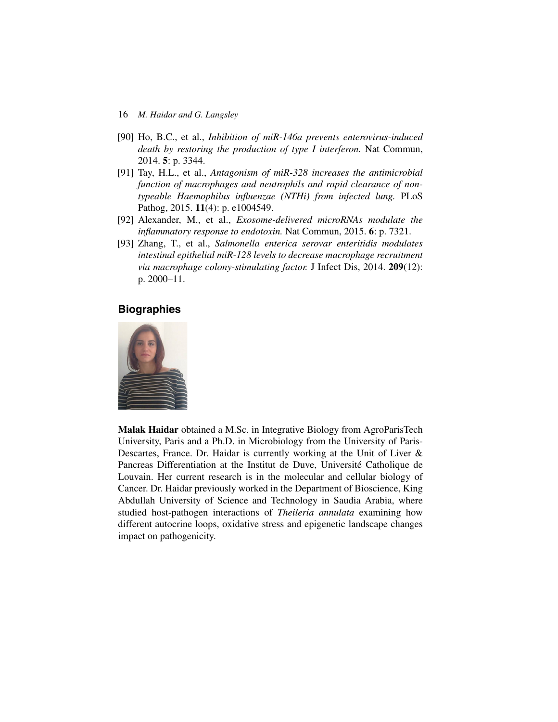- 16 *M. Haidar and G. Langsley*
- [90] Ho, B.C., et al., *Inhibition of miR-146a prevents enterovirus-induced death by restoring the production of type I interferon.* Nat Commun, 2014. **5**: p. 3344.
- [91] Tay, H.L., et al., *Antagonism of miR-328 increases the antimicrobial function of macrophages and neutrophils and rapid clearance of nontypeable Haemophilus influenzae (NTHi) from infected lung.* PLoS Pathog, 2015. **11**(4): p. e1004549.
- [92] Alexander, M., et al., *Exosome-delivered microRNAs modulate the inflammatory response to endotoxin.* Nat Commun, 2015. **6**: p. 7321.
- [93] Zhang, T., et al., *Salmonella enterica serovar enteritidis modulates intestinal epithelial miR-128 levels to decrease macrophage recruitment via macrophage colony-stimulating factor.* J Infect Dis, 2014. **209**(12): p. 2000–11.

# **Biographies**



**Malak Haidar** obtained a M.Sc. in Integrative Biology from AgroParisTech University, Paris and a Ph.D. in Microbiology from the University of Paris-Descartes, France. Dr. Haidar is currently working at the Unit of Liver & Pancreas Differentiation at the Institut de Duve, Université Catholique de Louvain. Her current research is in the molecular and cellular biology of Cancer. Dr. Haidar previously worked in the Department of Bioscience, King Abdullah University of Science and Technology in Saudia Arabia, where studied host-pathogen interactions of *Theileria annulata* examining how different autocrine loops, oxidative stress and epigenetic landscape changes impact on pathogenicity.